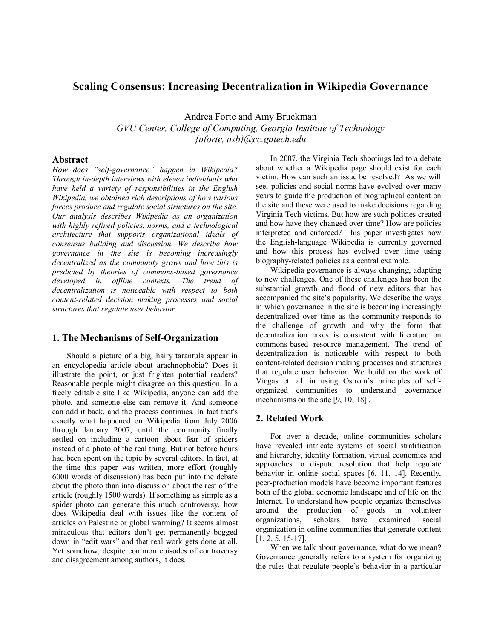# **Scaling Consensus: Increasing Decentralization in Wikipedia Governance**

Andrea Forte and Amy Bruckman

*GVU Center, College of Computing, Georgia Institute of Technology {aforte, asb}@cc.gatech.edu* 

### **Abstract**

*How does "self-governance" happen in Wikipedia? Through in-depth interviews with eleven individuals who have held a variety of responsibilities in the English Wikipedia, we obtained rich descriptions of how various forces produce and regulate social structures on the site. Our analysis describes Wikipedia as an organization with highly refined policies, norms, and a technological architecture that supports organizational ideals of consensus building and discussion. We describe how governance in the site is becoming increasingly decentralized as the community grows and how this is predicted by theories of commons-based governance developed in offline contexts. The trend of decentralization is noticeable with respect to both content-related decision making processes and social structures that regulate user behavior.* 

### **1. The Mechanisms of Self-Organization**

Should a picture of a big, hairy tarantula appear in an encyclopedia article about arachnophobia? Does it illustrate the point, or just frighten potential readers? Reasonable people might disagree on this question. In a freely editable site like Wikipedia, anyone can add the photo, and someone else can remove it. And someone can add it back, and the process continues. In fact that's exactly what happened on Wikipedia from July 2006 through January 2007, until the community finally settled on including a cartoon about fear of spiders instead of a photo of the real thing. But not before hours had been spent on the topic by several editors. In fact, at the time this paper was written, more effort (roughly 6000 words of discussion) has been put into the debate about the photo than into discussion about the rest of the article (roughly 1500 words). If something as simple as a spider photo can generate this much controversy, how does Wikipedia deal with issues like the content of articles on Palestine or global warming? It seems almost miraculous that editors don't get permanently bogged down in "edit wars" and that real work gets done at all. Yet somehow, despite common episodes of controversy and disagreement among authors, it does.

In 2007, the Virginia Tech shootings led to a debate about whether a Wikipedia page should exist for each victim. How can such an issue be resolved? As we will see, policies and social norms have evolved over many years to guide the production of biographical content on the site and these were used to make decisions regarding Virginia Tech victims. But how are such policies created and how have they changed over time? How are policies interpreted and enforced? This paper investigates how the English-language Wikipedia is currently governed and how this process has evolved over time using biography-related policies as a central example.

Wikipedia governance is always changing, adapting to new challenges. One of these challenges has been the substantial growth and flood of new editors that has accompanied the site's popularity. We describe the ways in which governance in the site is becoming increasingly decentralized over time as the community responds to the challenge of growth and why the form that decentralization takes is consistent with literature on commons-based resource management. The trend of decentralization is noticeable with respect to both content-related decision making processes and structures that regulate user behavior. We build on the work of Viegas et. al. in using Ostrom's principles of selforganized communities to understand governance mechanisms on the site [9, 10, 18].

## **2. Related Work**

For over a decade, online communities scholars have revealed intricate systems of social stratification and hierarchy, identity formation, virtual economies and approaches to dispute resolution that help regulate behavior in online social spaces [6, 11, 14]. Recently, peer-production models have become important features both of the global economic landscape and of life on the Internet. To understand how people organize themselves around the production of goods in volunteer organizations, scholars have examined social organization in online communities that generate content [1, 2, 5, 15-17].

When we talk about governance, what do we mean? Governance generally refers to a system for organizing the rules that regulate people's behavior in a particular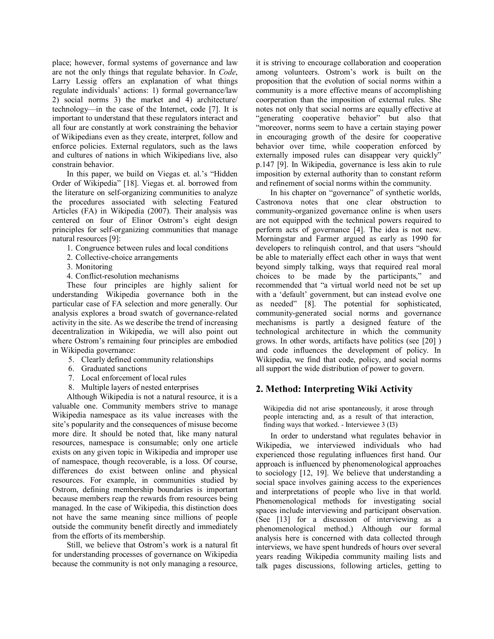place; however, formal systems of governance and law are not the only things that regulate behavior. In *Code*, Larry Lessig offers an explanation of what things regulate individuals' actions: 1) formal governance/law 2) social norms 3) the market and 4) architecture/ technology—in the case of the Internet, code [7]. It is important to understand that these regulators interact and all four are constantly at work constraining the behavior of Wikipedians even as they create, interpret, follow and enforce policies. External regulators, such as the laws and cultures of nations in which Wikipedians live, also constrain behavior.

In this paper, we build on Viegas et. al.'s "Hidden Order of Wikipedia" [18]. Viegas et. al. borrowed from the literature on self-organizing communities to analyze the procedures associated with selecting Featured Articles (FA) in Wikipedia (2007). Their analysis was centered on four of Elinor Ostrom's eight design principles for self-organizing communities that manage natural resources [9]:

- 1. Congruence between rules and local conditions
- 2. Collective-choice arrangements
- 3. Monitoring
- 4. Conflict-resolution mechanisms

These four principles are highly salient for understanding Wikipedia governance both in the particular case of FA selection and more generally. Our analysis explores a broad swatch of governance-related activity in the site. As we describe the trend of increasing decentralization in Wikipedia, we will also point out where Ostrom's remaining four principles are embodied in Wikipedia governance:

- 5. Clearly defined community relationships
- 6. Graduated sanctions
- 7. Local enforcement of local rules
- 8. Multiple layers of nested enterprises

Although Wikipedia is not a natural resource, it is a valuable one. Community members strive to manage Wikipedia namespace as its value increases with the site's popularity and the consequences of misuse become more dire. It should be noted that, like many natural resources, namespace is consumable; only one article exists on any given topic in Wikipedia and improper use of namespace, though recoverable, is a loss. Of course, differences do exist between online and physical resources. For example, in communities studied by Ostrom, defining membership boundaries is important because members reap the rewards from resources being managed. In the case of Wikipedia, this distinction does not have the same meaning since millions of people outside the community benefit directly and immediately from the efforts of its membership.

Still, we believe that Ostrom's work is a natural fit for understanding processes of governance on Wikipedia because the community is not only managing a resource,

it is striving to encourage collaboration and cooperation among volunteers. Ostrom's work is built on the proposition that the evolution of social norms within a community is a more effective means of accomplishing coorperation than the imposition of external rules. She notes not only that social norms are equally effective at "generating cooperative behavior" but also that "moreover, norms seem to have a certain staying power in encouraging growth of the desire for cooperative behavior over time, while cooperation enforced by externally imposed rules can disappear very quickly" p.147 [9]. In Wikipedia, governance is less akin to rule imposition by external authority than to constant reform and refinement of social norms within the community.

In his chapter on "governance" of synthetic worlds, Castronova notes that one clear obstruction to community-organized governance online is when users are not equipped with the technical powers required to perform acts of governance [4]. The idea is not new. Morningstar and Farmer argued as early as 1990 for developers to relinquish control, and that users "should be able to materially effect each other in ways that went beyond simply talking, ways that required real moral choices to be made by the participants," and recommended that "a virtual world need not be set up with a 'default' government, but can instead evolve one as needed" [8]. The potential for sophisticated, community-generated social norms and governance mechanisms is partly a designed feature of the technological architecture in which the community grows. In other words, artifacts have politics (see [20] ) and code influences the development of policy. In Wikipedia, we find that code, policy, and social norms all support the wide distribution of power to govern.

## **2. Method: Interpreting Wiki Activity**

Wikipedia did not arise spontaneously, it arose through people interacting and, as a result of that interaction, finding ways that worked. - Interviewee 3 (I3)

In order to understand what regulates behavior in Wikipedia, we interviewed individuals who had experienced those regulating influences first hand. Our approach is influenced by phenomenological approaches to sociology [12, 19]. We believe that understanding a social space involves gaining access to the experiences and interpretations of people who live in that world. Phenomenological methods for investigating social spaces include interviewing and participant observation. (See [13] for a discussion of interviewing as a phenomenological method.) Although our formal analysis here is concerned with data collected through interviews, we have spent hundreds of hours over several years reading Wikipedia community mailing lists and talk pages discussions, following articles, getting to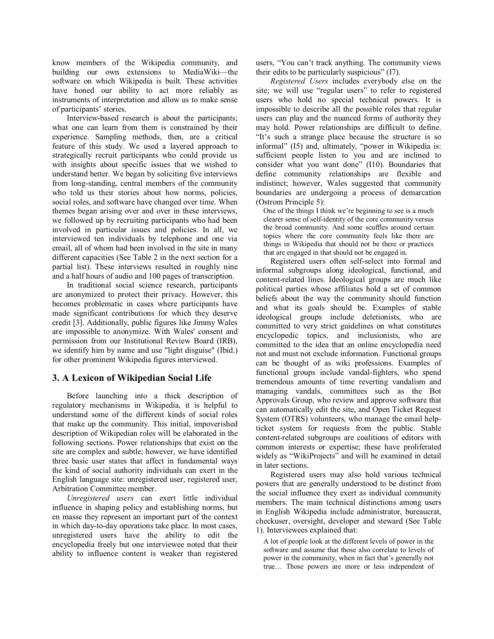know members of the Wikipedia community, and building our own extensions to MediaWiki—the software on which Wikipedia is built. These activities have honed our ability to act more reliably as instruments of interpretation and allow us to make sense of participants' stories.

Interview-based research is about the participants; what one can learn from them is constrained by their experience. Sampling methods, then, are a critical feature of this study. We used a layered approach to strategically recruit participants who could provide us with insights about specific issues that we wished to understand better. We began by soliciting five interviews from long-standing, central members of the community who told us their stories about how norms, policies, social roles, and software have changed over time. When themes began arising over and over in these interviews, we followed up by recruiting participants who had been involved in particular issues and policies. In all, we interviewed ten individuals by telephone and one via email, all of whom had been involved in the site in many different capacities (See Table 2 in the next section for a partial list). These interviews resulted in roughly nine and a half hours of audio and 100 pages of transcription.

In traditional social science research, participants are anonymized to protect their privacy. However, this becomes problematic in cases where participants have made significant contributions for which they deserve credit [3]. Additionally, public figures like Jimmy Wales are impossible to anonymize. With Wales' consent and permission from our Institutional Review Board (IRB), we identify him by name and use "light disguise" (Ibid.) for other prominent Wikipedia figures interviewed.

## **3. A Lexicon of Wikipedian Social Life**

Before launching into a thick description of regulatory mechanisms in Wikipedia, it is helpful to understand some of the different kinds of social roles that make up the community. This initial, impoverished description of Wikipedian roles will be elaborated in the following sections. Power relationships that exist on the site are complex and subtle; however, we have identified three basic user states that affect in fundamental ways the kind of social authority individuals can exert in the English language site: unregistered user, registered user, Arbitration Committee member.

*Unregistered users* can exert little individual influence in shaping policy and establishing norms, but en masse they represent an important part of the context in which day-to-day operations take place. In most cases, unregistered users have the ability to edit the encyclopedia freely but one interviewee noted that their ability to influence content is weaker than registered users, "You can't track anything. The community views their edits to be particularly suspicious" (I7).

*Registered Users* includes everybody else on the site; we will use "regular users" to refer to registered users who hold no special technical powers. It is impossible to describe all the possible roles that regular users can play and the nuanced forms of authority they may hold. Power relationships are difficult to define. "It's such a strange place because the structure is so informal" (I5) and, ultimately, "power in Wikipedia is: sufficient people listen to you and are inclined to consider what you want done" (I10). Boundaries that define community relationships are flexible and indistinct; however, Wales suggested that community boundaries are undergoing a process of demarcation (Ostrom Principle 5):

One of the things I think we're beginning to see is a much clearer sense of self-identity of the core community versus the broad community. And some scuffles around certain topics where the core community feels like there are things in Wikipedia that should not be there or practices that are engaged in that should not be engaged in.

Registered users often self-select into formal and informal subgroups along ideological, functional, and content-related lines. Ideological groups are much like political parties whose affiliates hold a set of common beliefs about the way the community should function and what its goals should be. Examples of stable ideological groups include deletionists, who are committed to very strict guidelines on what constitutes encyclopedic topics, and inclusionists, who are committed to the idea that an online encyclopedia need not and must not exclude information. Functional groups can be thought of as wiki professions. Examples of functional groups include vandal-fighters, who spend tremendous amounts of time reverting vandalism and managing vandals, committees such as the Bot Approvals Group, who review and approve software that can automatically edit the site, and Open Ticket Request System (OTRS) volunteers, who manage the email helpticket system for requests from the public. Stable content-related subgroups are coalitions of editors with common interests or expertise; these have proliferated widely as "WikiProjects" and will be examined in detail in later sections.

Registered users may also hold various technical powers that are generally understood to be distinct from the social influence they exert as individual community members. The main technical distinctions among users in English Wikipedia include administrator, bureaucrat, checkuser, oversight, developer and steward (See Table 1). Interviewees explained that:

A lot of people look at the different levels of power in the software and assume that those also correlate to levels of power in the community, when in fact that's generally not true… Those powers are more or less independent of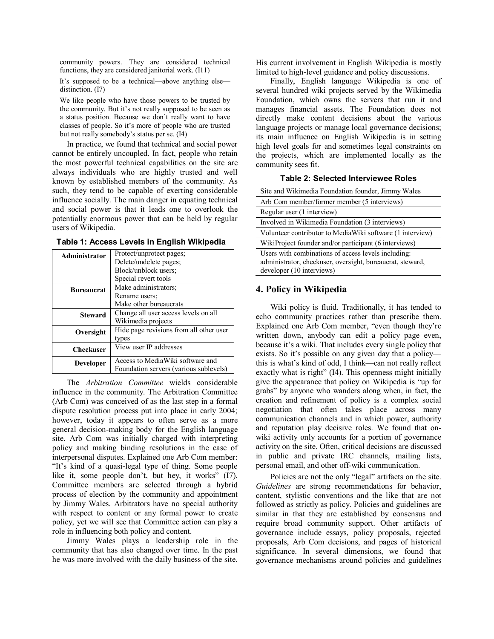community powers. They are considered technical functions, they are considered janitorial work. (I11)

It's supposed to be a technical—above anything else distinction. (I7)

We like people who have those powers to be trusted by the community. But it's not really supposed to be seen as a status position. Because we don't really want to have classes of people. So it's more of people who are trusted but not really somebody's status per se. (I4)

In practice, we found that technical and social power cannot be entirely uncoupled. In fact, people who retain the most powerful technical capabilities on the site are always individuals who are highly trusted and well known by established members of the community. As such, they tend to be capable of exerting considerable influence socially. The main danger in equating technical and social power is that it leads one to overlook the potentially enormous power that can be held by regular users of Wikipedia.

| Table 1: Access Levels in English Wikipedia |  |  |  |
|---------------------------------------------|--|--|--|
|---------------------------------------------|--|--|--|

| Administrator     | Protect/unprotect pages;                |  |  |
|-------------------|-----------------------------------------|--|--|
|                   | Delete/undelete pages;                  |  |  |
|                   | Block/unblock users;                    |  |  |
|                   | Special revert tools                    |  |  |
| <b>Bureaucrat</b> | Make administrators;                    |  |  |
|                   | Rename users;                           |  |  |
|                   | Make other bureaucrats                  |  |  |
| <b>Steward</b>    | Change all user access levels on all    |  |  |
|                   | Wikimedia projects                      |  |  |
| Oversight         | Hide page revisions from all other user |  |  |
|                   | types                                   |  |  |
| <b>Checkuser</b>  | View user IP addresses                  |  |  |
|                   |                                         |  |  |
| <b>Developer</b>  | Access to Media Wiki software and       |  |  |
|                   | Foundation servers (various sublevels)  |  |  |

The *Arbitration Committee* wields considerable influence in the community. The Arbitration Committee (Arb Com) was conceived of as the last step in a formal dispute resolution process put into place in early 2004; however, today it appears to often serve as a more general decision-making body for the English language site. Arb Com was initially charged with interpreting policy and making binding resolutions in the case of interpersonal disputes. Explained one Arb Com member: "It's kind of a quasi-legal type of thing. Some people like it, some people don't, but hey, it works" (I7). Committee members are selected through a hybrid process of election by the community and appointment by Jimmy Wales. Arbitrators have no special authority with respect to content or any formal power to create policy, yet we will see that Committee action can play a role in influencing both policy and content.

Jimmy Wales plays a leadership role in the community that has also changed over time. In the past he was more involved with the daily business of the site. His current involvement in English Wikipedia is mostly limited to high-level guidance and policy discussions.

Finally, English language Wikipedia is one of several hundred wiki projects served by the Wikimedia Foundation, which owns the servers that run it and manages financial assets. The Foundation does not directly make content decisions about the various language projects or manage local governance decisions; its main influence on English Wikipedia is in setting high level goals for and sometimes legal constraints on the projects, which are implemented locally as the community sees fit.

**Table 2: Selected Interviewee Roles** 

| Site and Wikimedia Foundation founder, Jimmy Wales                                                                                            |  |  |
|-----------------------------------------------------------------------------------------------------------------------------------------------|--|--|
| Arb Com member/former member (5 interviews)                                                                                                   |  |  |
| Regular user (1 interview)                                                                                                                    |  |  |
| Involved in Wikimedia Foundation (3 interviews)                                                                                               |  |  |
| Volunteer contributor to Media Wiki software (1 interview)                                                                                    |  |  |
| WikiProject founder and/or participant (6 interviews)                                                                                         |  |  |
| Users with combinations of access levels including:<br>administrator, checkuser, oversight, bureaucrat, steward,<br>developer (10 interviews) |  |  |

### **4. Policy in Wikipedia**

Wiki policy is fluid. Traditionally, it has tended to echo community practices rather than prescribe them. Explained one Arb Com member, "even though they're written down, anybody can edit a policy page even, because it's a wiki. That includes every single policy that exists. So it's possible on any given day that a policy this is what's kind of odd, I think—can not really reflect exactly what is right" (I4). This openness might initially give the appearance that policy on Wikipedia is "up for grabs" by anyone who wanders along when, in fact, the creation and refinement of policy is a complex social negotiation that often takes place across many communication channels and in which power, authority and reputation play decisive roles. We found that onwiki activity only accounts for a portion of governance activity on the site. Often, critical decisions are discussed in public and private IRC channels, mailing lists, personal email, and other off-wiki communication.

Policies are not the only "legal" artifacts on the site. *Guidelines* are strong recommendations for behavior, content, stylistic conventions and the like that are not followed as strictly as policy. Policies and guidelines are similar in that they are established by consensus and require broad community support. Other artifacts of governance include essays, policy proposals, rejected proposals, Arb Com decisions, and pages of historical significance. In several dimensions, we found that governance mechanisms around policies and guidelines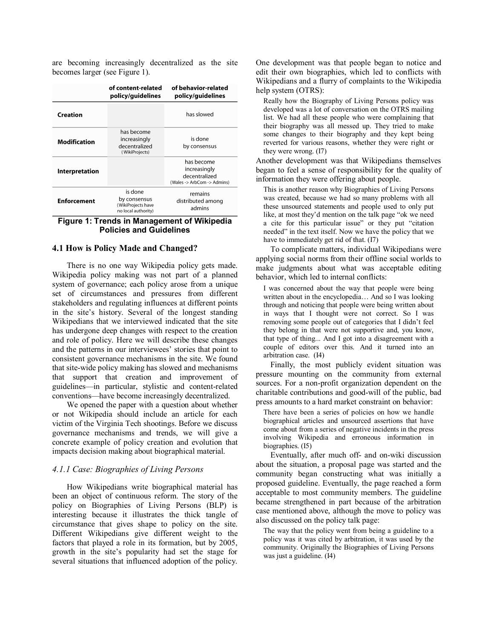are becoming increasingly decentralized as the site becomes larger (see Figure 1).

|                    | of content-related<br>policy/guidelines                              | of behavior-related<br>policy/guidelines                                   |
|--------------------|----------------------------------------------------------------------|----------------------------------------------------------------------------|
| Creation           |                                                                      | has slowed                                                                 |
| Modification       | has become<br>increasingly<br>decentralized<br>(WikiProjects)        | is done<br>by consensus                                                    |
| Interpretation     |                                                                      | has become<br>increasingly<br>decentralized<br>(Wales -> ArbCom -> Admins) |
| <b>Enforcement</b> | is done<br>by consensus<br>(WikiProjects have<br>no local authority) | remains<br>distributed among<br>admins                                     |

#### **Figure 1: Trends in Management of Wikipedia Policies and Guidelines**

#### **4.1 How is Policy Made and Changed?**

There is no one way Wikipedia policy gets made. Wikipedia policy making was not part of a planned system of governance; each policy arose from a unique set of circumstances and pressures from different stakeholders and regulating influences at different points in the site's history. Several of the longest standing Wikipedians that we interviewed indicated that the site has undergone deep changes with respect to the creation and role of policy. Here we will describe these changes and the patterns in our interviewees' stories that point to consistent governance mechanisms in the site. We found that site-wide policy making has slowed and mechanisms that support that creation and improvement of guidelines—in particular, stylistic and content-related conventions—have become increasingly decentralized.

We opened the paper with a question about whether or not Wikipedia should include an article for each victim of the Virginia Tech shootings. Before we discuss governance mechanisms and trends, we will give a concrete example of policy creation and evolution that impacts decision making about biographical material.

#### *4.1.1 Case: Biographies of Living Persons*

How Wikipedians write biographical material has been an object of continuous reform. The story of the policy on Biographies of Living Persons (BLP) is interesting because it illustrates the thick tangle of circumstance that gives shape to policy on the site. Different Wikipedians give different weight to the factors that played a role in its formation, but by 2005, growth in the site's popularity had set the stage for several situations that influenced adoption of the policy. One development was that people began to notice and edit their own biographies, which led to conflicts with Wikipedians and a flurry of complaints to the Wikipedia help system (OTRS):

Really how the Biography of Living Persons policy was developed was a lot of conversation on the OTRS mailing list. We had all these people who were complaining that their biography was all messed up. They tried to make some changes to their biography and they kept being reverted for various reasons, whether they were right or they were wrong. (I7)

Another development was that Wikipedians themselves began to feel a sense of responsibility for the quality of information they were offering about people.

This is another reason why Biographies of Living Persons was created, because we had so many problems with all these unsourced statements and people used to only put like, at most they'd mention on the talk page "ok we need a cite for this particular issue" or they put "citation needed" in the text itself. Now we have the policy that we have to immediately get rid of that. (I7)

To complicate matters, individual Wikipedians were applying social norms from their offline social worlds to make judgments about what was acceptable editing behavior, which led to internal conflicts:

I was concerned about the way that people were being written about in the encyclopedia… And so I was looking through and noticing that people were being written about in ways that I thought were not correct. So I was removing some people out of categories that I didn't feel they belong in that were not supportive and, you know, that type of thing... And I got into a disagreement with a couple of editors over this. And it turned into an arbitration case. (I4)

Finally, the most publicly evident situation was pressure mounting on the community from external sources. For a non-profit organization dependent on the charitable contributions and good-will of the public, bad press amounts to a hard market constraint on behavior:

There have been a series of policies on how we handle biographical articles and unsourced assertions that have come about from a series of negative incidents in the press involving Wikipedia and erroneous information in biographies. (I5)

Eventually, after much off- and on-wiki discussion about the situation, a proposal page was started and the community began constructing what was initially a proposed guideline. Eventually, the page reached a form acceptable to most community members. The guideline became strengthened in part because of the arbitration case mentioned above, although the move to policy was also discussed on the policy talk page:

The way that the policy went from being a guideline to a policy was it was cited by arbitration, it was used by the community. Originally the Biographies of Living Persons was just a guideline. (I4)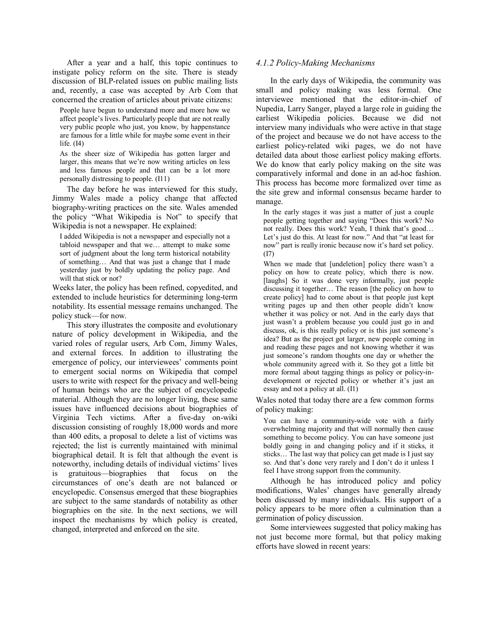After a year and a half, this topic continues to instigate policy reform on the site. There is steady discussion of BLP-related issues on public mailing lists and, recently, a case was accepted by Arb Com that concerned the creation of articles about private citizens:

People have begun to understand more and more how we affect people's lives. Particularly people that are not really very public people who just, you know, by happenstance are famous for a little while for maybe some event in their life.  $(14)$ 

As the sheer size of Wikipedia has gotten larger and larger, this means that we're now writing articles on less and less famous people and that can be a lot more personally distressing to people. (I11)

The day before he was interviewed for this study, Jimmy Wales made a policy change that affected biography-writing practices on the site. Wales amended the policy "What Wikipedia is Not" to specify that Wikipedia is not a newspaper. He explained:

I added Wikipedia is not a newspaper and especially not a tabloid newspaper and that we… attempt to make some sort of judgment about the long term historical notability of something… And that was just a change that I made yesterday just by boldly updating the policy page. And will that stick or not?

Weeks later, the policy has been refined, copyedited, and extended to include heuristics for determining long-term notability. Its essential message remains unchanged. The policy stuck—for now.

This story illustrates the composite and evolutionary nature of policy development in Wikipedia, and the varied roles of regular users, Arb Com, Jimmy Wales, and external forces. In addition to illustrating the emergence of policy, our interviewees' comments point to emergent social norms on Wikipedia that compel users to write with respect for the privacy and well-being of human beings who are the subject of encyclopedic material. Although they are no longer living, these same issues have influenced decisions about biographies of Virginia Tech victims. After a five-day on-wiki discussion consisting of roughly 18,000 words and more than 400 edits, a proposal to delete a list of victims was rejected; the list is currently maintained with minimal biographical detail. It is felt that although the event is noteworthy, including details of individual victims' lives is gratuitous—biographies that focus on the circumstances of one's death are not balanced or encyclopedic. Consensus emerged that these biographies are subject to the same standards of notability as other biographies on the site. In the next sections, we will inspect the mechanisms by which policy is created, changed, interpreted and enforced on the site.

#### *4.1.2 Policy-Making Mechanisms*

In the early days of Wikipedia, the community was small and policy making was less formal. One interviewee mentioned that the editor-in-chief of Nupedia, Larry Sanger, played a large role in guiding the earliest Wikipedia policies. Because we did not interview many individuals who were active in that stage of the project and because we do not have access to the earliest policy-related wiki pages, we do not have detailed data about those earliest policy making efforts. We do know that early policy making on the site was comparatively informal and done in an ad-hoc fashion. This process has become more formalized over time as the site grew and informal consensus became harder to manage.

In the early stages it was just a matter of just a couple people getting together and saying "Does this work? No not really. Does this work? Yeah, I think that's good… Let's just do this. At least for now." And that "at least for now" part is really ironic because now it's hard set policy. (I7)

When we made that [undeletion] policy there wasn't a policy on how to create policy, which there is now. [laughs] So it was done very informally, just people discussing it together… The reason [the policy on how to create policy] had to come about is that people just kept writing pages up and then other people didn't know whether it was policy or not. And in the early days that just wasn't a problem because you could just go in and discuss, ok, is this really policy or is this just someone's idea? But as the project got larger, new people coming in and reading these pages and not knowing whether it was just someone's random thoughts one day or whether the whole community agreed with it. So they got a little bit more formal about tagging things as policy or policy-indevelopment or rejected policy or whether it's just an essay and not a policy at all. (I1)

Wales noted that today there are a few common forms of policy making:

You can have a community-wide vote with a fairly overwhelming majority and that will normally then cause something to become policy. You can have someone just boldly going in and changing policy and if it sticks, it sticks… The last way that policy can get made is I just say so. And that's done very rarely and I don't do it unless I feel I have strong support from the community.

Although he has introduced policy and policy modifications, Wales' changes have generally already been discussed by many individuals. His support of a policy appears to be more often a culmination than a germination of policy discussion.

Some interviewees suggested that policy making has not just become more formal, but that policy making efforts have slowed in recent years: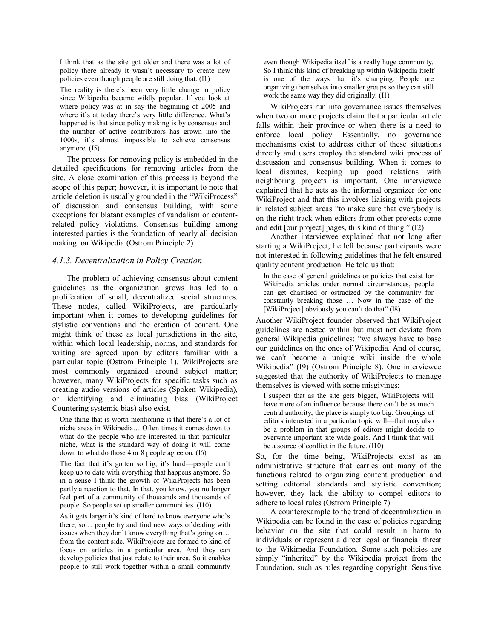I think that as the site got older and there was a lot of policy there already it wasn't necessary to create new policies even though people are still doing that. (I1)

The reality is there's been very little change in policy since Wikipedia became wildly popular. If you look at where policy was at in say the beginning of 2005 and where it's at today there's very little difference. What's happened is that since policy making is by consensus and the number of active contributors has grown into the 1000s, it's almost impossible to achieve consensus anymore. (I5)

The process for removing policy is embedded in the detailed specifications for removing articles from the site. A close examination of this process is beyond the scope of this paper; however, it is important to note that article deletion is usually grounded in the "WikiProcess" of discussion and consensus building, with some exceptions for blatant examples of vandalism or contentrelated policy violations. Consensus building among interested parties is the foundation of nearly all decision making on Wikipedia (Ostrom Principle 2).

### *4.1.3. Decentralization in Policy Creation*

The problem of achieving consensus about content guidelines as the organization grows has led to a proliferation of small, decentralized social structures. These nodes, called WikiProjects, are particularly important when it comes to developing guidelines for stylistic conventions and the creation of content. One might think of these as local jurisdictions in the site, within which local leadership, norms, and standards for writing are agreed upon by editors familiar with a particular topic (Ostrom Principle 1). WikiProjects are most commonly organized around subject matter; however, many WikiProjects for specific tasks such as creating audio versions of articles (Spoken Wikipedia), or identifying and eliminating bias (WikiProject Countering systemic bias) also exist.

One thing that is worth mentioning is that there's a lot of niche areas in Wikipedia… Often times it comes down to what do the people who are interested in that particular niche, what is the standard way of doing it will come down to what do those 4 or 8 people agree on. (I6)

The fact that it's gotten so big, it's hard—people can't keep up to date with everything that happens anymore. So in a sense I think the growth of WikiProjects has been partly a reaction to that. In that, you know, you no longer feel part of a community of thousands and thousands of people. So people set up smaller communities. (I10)

As it gets larger it's kind of hard to know everyone who's there, so… people try and find new ways of dealing with issues when they don't know everything that's going on… from the content side, WikiProjects are formed to kind of focus on articles in a particular area. And they can develop policies that just relate to their area. So it enables people to still work together within a small community

even though Wikipedia itself is a really huge community. So I think this kind of breaking up within Wikipedia itself is one of the ways that it's changing. People are organizing themselves into smaller groups so they can still work the same way they did originally. (I1)

WikiProjects run into governance issues themselves when two or more projects claim that a particular article falls within their province or when there is a need to enforce local policy. Essentially, no governance mechanisms exist to address either of these situations directly and users employ the standard wiki process of discussion and consensus building. When it comes to local disputes, keeping up good relations with neighboring projects is important. One interviewee explained that he acts as the informal organizer for one WikiProject and that this involves liaising with projects in related subject areas "to make sure that everybody is on the right track when editors from other projects come and edit [our project] pages, this kind of thing." (I2)

Another interviewee explained that not long after starting a WikiProject, he left because participants were not interested in following guidelines that he felt ensured quality content production. He told us that:

In the case of general guidelines or policies that exist for Wikipedia articles under normal circumstances, people can get chastised or ostracized by the community for constantly breaking those … Now in the case of the [WikiProject] obviously you can't do that" (I8)

Another WikiProject founder observed that WikiProject guidelines are nested within but must not deviate from general Wikipedia guidelines: "we always have to base our guidelines on the ones of Wikipedia. And of course, we can't become a unique wiki inside the whole Wikipedia" (I9) (Ostrom Principle 8). One interviewee suggested that the authority of WikiProjects to manage themselves is viewed with some misgivings:

I suspect that as the site gets bigger, WikiProjects will have more of an influence because there can't be as much central authority, the place is simply too big. Groupings of editors interested in a particular topic will—that may also be a problem in that groups of editors might decide to overwrite important site-wide goals. And I think that will be a source of conflict in the future. (I10)

So, for the time being, WikiProjects exist as an administrative structure that carries out many of the functions related to organizing content production and setting editorial standards and stylistic convention; however, they lack the ability to compel editors to adhere to local rules (Ostrom Principle 7).

A counterexample to the trend of decentralization in Wikipedia can be found in the case of policies regarding behavior on the site that could result in harm to individuals or represent a direct legal or financial threat to the Wikimedia Foundation. Some such policies are simply "inherited" by the Wikipedia project from the Foundation, such as rules regarding copyright. Sensitive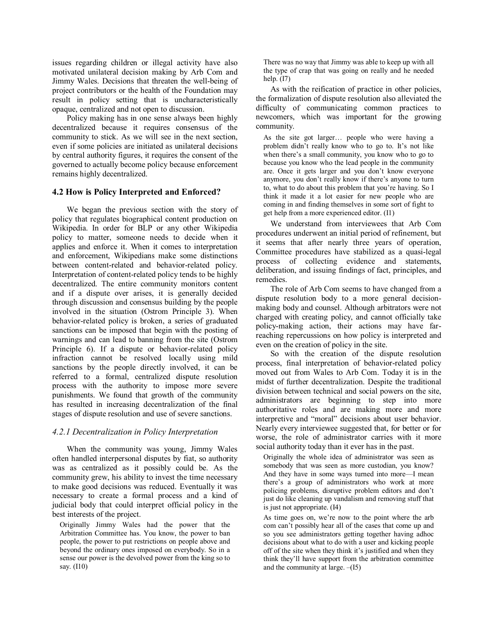issues regarding children or illegal activity have also motivated unilateral decision making by Arb Com and Jimmy Wales. Decisions that threaten the well-being of project contributors or the health of the Foundation may result in policy setting that is uncharacteristically opaque, centralized and not open to discussion.

Policy making has in one sense always been highly decentralized because it requires consensus of the community to stick. As we will see in the next section, even if some policies are initiated as unilateral decisions by central authority figures, it requires the consent of the governed to actually become policy because enforcement remains highly decentralized.

#### **4.2 How is Policy Interpreted and Enforced?**

We began the previous section with the story of policy that regulates biographical content production on Wikipedia. In order for BLP or any other Wikipedia policy to matter, someone needs to decide when it applies and enforce it. When it comes to interpretation and enforcement, Wikipedians make some distinctions between content-related and behavior-related policy. Interpretation of content-related policy tends to be highly decentralized. The entire community monitors content and if a dispute over arises, it is generally decided through discussion and consensus building by the people involved in the situation (Ostrom Principle 3). When behavior-related policy is broken, a series of graduated sanctions can be imposed that begin with the posting of warnings and can lead to banning from the site (Ostrom Principle 6). If a dispute or behavior-related policy infraction cannot be resolved locally using mild sanctions by the people directly involved, it can be referred to a formal, centralized dispute resolution process with the authority to impose more severe punishments. We found that growth of the community has resulted in increasing decentralization of the final stages of dispute resolution and use of severe sanctions.

### *4.2.1 Decentralization in Policy Interpretation*

When the community was young, Jimmy Wales often handled interpersonal disputes by fiat, so authority was as centralized as it possibly could be. As the community grew, his ability to invest the time necessary to make good decisions was reduced. Eventually it was necessary to create a formal process and a kind of judicial body that could interpret official policy in the best interests of the project.

Originally Jimmy Wales had the power that the Arbitration Committee has. You know, the power to ban people, the power to put restrictions on people above and beyond the ordinary ones imposed on everybody. So in a sense our power is the devolved power from the king so to say. (I10)

There was no way that Jimmy was able to keep up with all the type of crap that was going on really and he needed help. (I7)

As with the reification of practice in other policies, the formalization of dispute resolution also alleviated the difficulty of communicating common practices to newcomers, which was important for the growing community.

As the site got larger… people who were having a problem didn't really know who to go to. It's not like when there's a small community, you know who to go to because you know who the lead people in the community are. Once it gets larger and you don't know everyone anymore, you don't really know if there's anyone to turn to, what to do about this problem that you're having. So I think it made it a lot easier for new people who are coming in and finding themselves in some sort of fight to get help from a more experienced editor. (I1)

We understand from interviewees that Arb Com procedures underwent an initial period of refinement, but it seems that after nearly three years of operation, Committee procedures have stabilized as a quasi-legal process of collecting evidence and statements, deliberation, and issuing findings of fact, principles, and remedies.

The role of Arb Com seems to have changed from a dispute resolution body to a more general decisionmaking body and counsel. Although arbitrators were not charged with creating policy, and cannot officially take policy-making action, their actions may have farreaching repercussions on how policy is interpreted and even on the creation of policy in the site.

So with the creation of the dispute resolution process, final interpretation of behavior-related policy moved out from Wales to Arb Com. Today it is in the midst of further decentralization. Despite the traditional division between technical and social powers on the site, administrators are beginning to step into more authoritative roles and are making more and more interpretive and "moral" decisions about user behavior. Nearly every interviewee suggested that, for better or for worse, the role of administrator carries with it more social authority today than it ever has in the past.

Originally the whole idea of administrator was seen as somebody that was seen as more custodian, you know? And they have in some ways turned into more—I mean there's a group of administrators who work at more policing problems, disruptive problem editors and don't just do like cleaning up vandalism and removing stuff that is just not appropriate. (I4)

As time goes on, we're now to the point where the arb com can't possibly hear all of the cases that come up and so you see administrators getting together having adhoc decisions about what to do with a user and kicking people off of the site when they think it's justified and when they think they'll have support from the arbitration committee and the community at large.  $-(15)$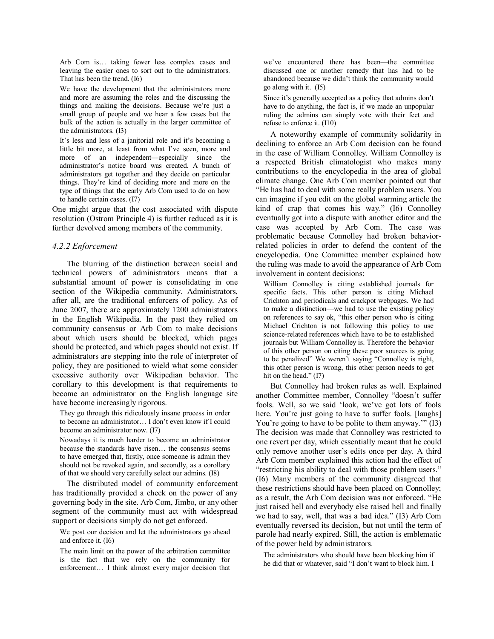Arb Com is… taking fewer less complex cases and leaving the easier ones to sort out to the administrators. That has been the trend. (I6)

We have the development that the administrators more and more are assuming the roles and the discussing the things and making the decisions. Because we're just a small group of people and we hear a few cases but the bulk of the action is actually in the larger committee of the administrators. (I3)

It's less and less of a janitorial role and it's becoming a little bit more, at least from what I've seen, more and more of an independent—especially since the administrator's notice board was created. A bunch of administrators get together and they decide on particular things. They're kind of deciding more and more on the type of things that the early Arb Com used to do on how to handle certain cases. (I7)

One might argue that the cost associated with dispute resolution (Ostrom Principle 4) is further reduced as it is further devolved among members of the community.

#### *4.2.2 Enforcement*

The blurring of the distinction between social and technical powers of administrators means that a substantial amount of power is consolidating in one section of the Wikipedia community. Administrators, after all, are the traditional enforcers of policy. As of June 2007, there are approximately 1200 administrators in the English Wikipedia. In the past they relied on community consensus or Arb Com to make decisions about which users should be blocked, which pages should be protected, and which pages should not exist. If administrators are stepping into the role of interpreter of policy, they are positioned to wield what some consider excessive authority over Wikipedian behavior. The corollary to this development is that requirements to become an administrator on the English language site have become increasingly rigorous.

They go through this ridiculously insane process in order to become an administrator… I don't even know if I could become an administrator now. (I7)

Nowadays it is much harder to become an administrator because the standards have risen… the consensus seems to have emerged that, firstly, once someone is admin they should not be revoked again, and secondly, as a corollary of that we should very carefully select our admins. (I8)

The distributed model of community enforcement has traditionally provided a check on the power of any governing body in the site. Arb Com, Jimbo, or any other segment of the community must act with widespread support or decisions simply do not get enforced.

We post our decision and let the administrators go ahead and enforce it. (I6)

The main limit on the power of the arbitration committee is the fact that we rely on the community for enforcement… I think almost every major decision that

we've encountered there has been—the committee discussed one or another remedy that has had to be abandoned because we didn't think the community would go along with it. (I5)

Since it's generally accepted as a policy that admins don't have to do anything, the fact is, if we made an unpopular ruling the admins can simply vote with their feet and refuse to enforce it. (I10)

A noteworthy example of community solidarity in declining to enforce an Arb Com decision can be found in the case of William Connolley. William Connolley is a respected British climatologist who makes many contributions to the encyclopedia in the area of global climate change. One Arb Com member pointed out that "He has had to deal with some really problem users. You can imagine if you edit on the global warming article the kind of crap that comes his way." (I6) Connolley eventually got into a dispute with another editor and the case was accepted by Arb Com. The case was problematic because Connolley had broken behaviorrelated policies in order to defend the content of the encyclopedia. One Committee member explained how the ruling was made to avoid the appearance of Arb Com involvement in content decisions:

William Connolley is citing established journals for specific facts. This other person is citing Michael Crichton and periodicals and crackpot webpages. We had to make a distinction—we had to use the existing policy on references to say ok, "this other person who is citing Michael Crichton is not following this policy to use science-related references which have to be to established journals but William Connolley is. Therefore the behavior of this other person on citing these poor sources is going to be penalized" We weren't saying "Connolley is right, this other person is wrong, this other person needs to get hit on the head." (I7)

But Connolley had broken rules as well. Explained another Committee member, Connolley "doesn't suffer fools. Well, so we said 'look, we've got lots of fools here. You're just going to have to suffer fools. [laughs] You're going to have to be polite to them anyway.'" (I3) The decision was made that Connolley was restricted to one revert per day, which essentially meant that he could only remove another user's edits once per day. A third Arb Com member explained this action had the effect of "restricting his ability to deal with those problem users." (I6) Many members of the community disagreed that these restrictions should have been placed on Connolley; as a result, the Arb Com decision was not enforced. "He just raised hell and everybody else raised hell and finally we had to say, well, that was a bad idea." (I3) Arb Com eventually reversed its decision, but not until the term of parole had nearly expired. Still, the action is emblematic of the power held by administrators.

The administrators who should have been blocking him if he did that or whatever, said "I don't want to block him. I